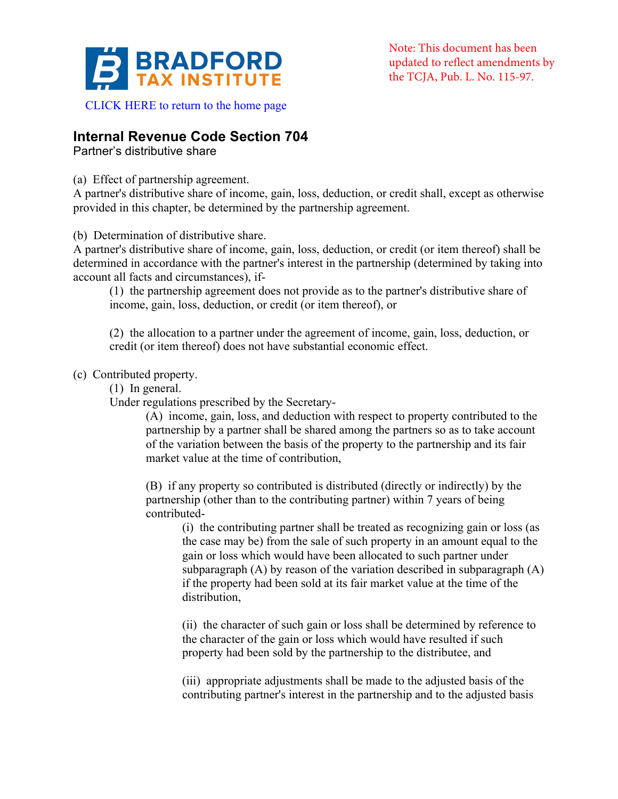

CLICK HERE to return to the home page

# **Internal Revenue Code Section 704**

Partner's distributive share

(a) Effect of partnership agreement.

A partner's distributive share of income, gain, loss, deduction, or credit shall, except as otherwise provided in this chapter, be determined by the partnership agreement.

(b) Determination of distributive share.

A partner's distributive share of income, gain, loss, deduction, or credit (or item thereof) shall be determined in accordance with the partner's interest in the partnership (determined by taking into account all facts and circumstances), if-

(1) the partnership agreement does not provide as to the partner's distributive share of income, gain, loss, deduction, or credit (or item thereof), or

(2) the allocation to a partner under the agreement of income, gain, loss, deduction, or credit (or item thereof) does not have substantial economic effect.

(c) Contributed property.

(1) In general.

Under regulations prescribed by the Secretary-

(A) income, gain, loss, and deduction with respect to property contributed to the partnership by a partner shall be shared among the partners so as to take account of the variation between the basis of the property to the partnership and its fair market value at the time of contribution,

(B) if any property so contributed is distributed (directly or indirectly) by the partnership (other than to the contributing partner) within 7 years of being contributed-

(i) the contributing partner shall be treated as recognizing gain or loss (as the case may be) from the sale of such property in an amount equal to the gain or loss which would have been allocated to such partner under subparagraph (A) by reason of the variation described in subparagraph (A) if the property had been sold at its fair market value at the time of the distribution,

(ii) the character of such gain or loss shall be determined by reference to the character of the gain or loss which would have resulted if such property had been sold by the partnership to the distributee, and

(iii) appropriate adjustments shall be made to the adjusted basis of the contributing partner's interest in the partnership and to the adjusted basis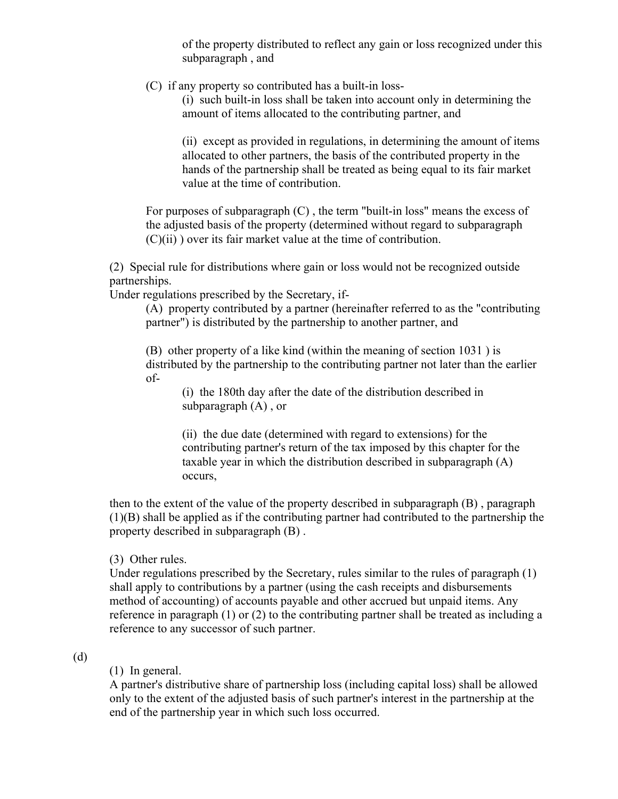of the property distributed to reflect any gain or loss recognized under this subparagraph , and

(C) if any property so contributed has a built-in loss-

(i) such built-in loss shall be taken into account only in determining the amount of items allocated to the contributing partner, and

(ii) except as provided in regulations, in determining the amount of items allocated to other partners, the basis of the contributed property in the hands of the partnership shall be treated as being equal to its fair market value at the time of contribution.

For purposes of subparagraph  $(C)$ , the term "built-in loss" means the excess of the adjusted basis of the property (determined without regard to subparagraph  $(C)(ii)$ ) over its fair market value at the time of contribution.

(2) Special rule for distributions where gain or loss would not be recognized outside partnerships.

Under regulations prescribed by the Secretary, if-

(A) property contributed by a partner (hereinafter referred to as the "contributing partner") is distributed by the partnership to another partner, and

(B) other property of a like kind (within the meaning of section 1031 ) is distributed by the partnership to the contributing partner not later than the earlier of-

(i) the 180th day after the date of the distribution described in subparagraph (A) , or

(ii) the due date (determined with regard to extensions) for the contributing partner's return of the tax imposed by this chapter for the taxable year in which the distribution described in subparagraph (A) occurs,

then to the extent of the value of the property described in subparagraph (B) , paragraph (1)(B) shall be applied as if the contributing partner had contributed to the partnership the property described in subparagraph (B) .

(3) Other rules.

Under regulations prescribed by the Secretary, rules similar to the rules of paragraph (1) shall apply to contributions by a partner (using the cash receipts and disbursements method of accounting) of accounts payable and other accrued but unpaid items. Any reference in paragraph (1) or (2) to the contributing partner shall be treated as including a reference to any successor of such partner.

# (d)

# (1) In general.

A partner's distributive share of partnership loss (including capital loss) shall be allowed only to the extent of the adjusted basis of such partner's interest in the partnership at the end of the partnership year in which such loss occurred.